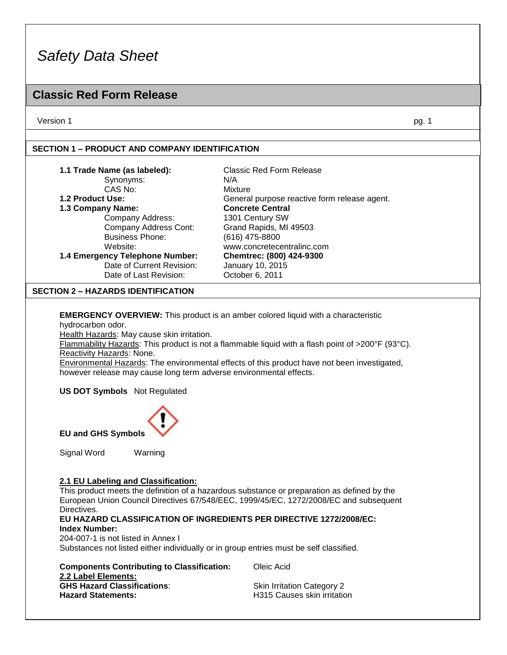### **Classic Red Form Release**

Version 1 pg. 1

### **SECTION 1 – PRODUCT AND COMPANY IDENTIFICATION**

| 1.1 Trade Name (as labeled):    | Classic Red Form Release                     |
|---------------------------------|----------------------------------------------|
| Synonyms:                       | N/A                                          |
| CAS No:                         | Mixture                                      |
| 1.2 Product Use:                | General purpose reactive form release agent. |
| 1.3 Company Name:               | <b>Concrete Central</b>                      |
| Company Address:                | 1301 Century SW                              |
| Company Address Cont:           | Grand Rapids, MI 49503                       |
| <b>Business Phone:</b>          | (616) 475-8800                               |
| Website:                        | www.concretecentralinc.com                   |
| 1.4 Emergency Telephone Number: | Chemtrec: (800) 424-9300                     |
| Date of Current Revision:       | January 10, 2015                             |
| Date of Last Revision:          | October 6, 2011                              |

#### **SECTION 2 – HAZARDS IDENTIFICATION**

**EMERGENCY OVERVIEW:** This product is an amber colored liquid with a characteristic hydrocarbon odor.

Health Hazards: May cause skin irritation.

Flammability Hazards: This product is not a flammable liquid with a flash point of >200°F (93°C). Reactivity Hazards: None.

Environmental Hazards: The environmental effects of this product have not been investigated, however release may cause long term adverse environmental effects.

**US DOT Symbols** Not Regulated



**EU and GHS Symbols**

Signal Word Warning

### **2.1 EU Labeling and Classification:**

This product meets the definition of a hazardous substance or preparation as defined by the European Union Council Directives 67/548/EEC, 1999/45/EC, 1272/2008/EC and subsequent Directives.

#### **EU HAZARD CLASSIFICATION OF INGREDIENTS PER DIRECTIVE 1272/2008/EC: Index Number:**

204-007-1 is not listed in Annex I

Substances not listed either individually or in group entries must be self classified.

| <b>Components Contributing to Classification:</b> |
|---------------------------------------------------|
| 2.2 Label Elements:                               |
| <b>GHS Hazard Classifications:</b>                |
| <b>Hazard Statements:</b>                         |

**Cleic Acid** 

**Skin Irritation Category 2 H315 Causes skin irritation**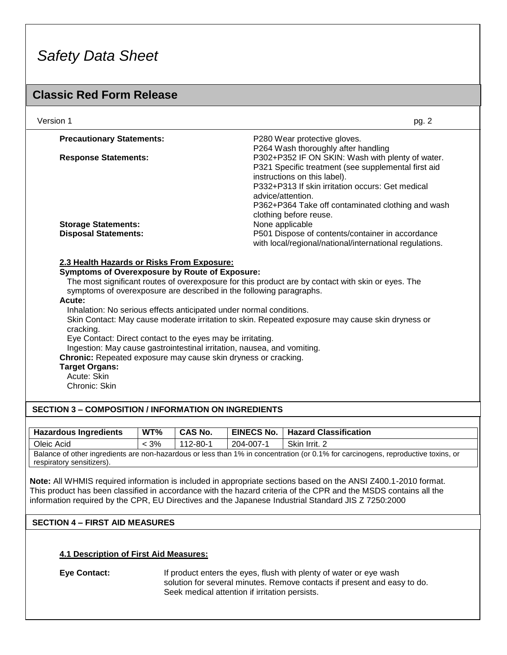### **Classic Red Form Release**

| Version 1                                                                                                                                                                                                                                                                                             | pg. 2                                                                                            |
|-------------------------------------------------------------------------------------------------------------------------------------------------------------------------------------------------------------------------------------------------------------------------------------------------------|--------------------------------------------------------------------------------------------------|
| <b>Precautionary Statements:</b>                                                                                                                                                                                                                                                                      | P280 Wear protective gloves.                                                                     |
|                                                                                                                                                                                                                                                                                                       | P264 Wash thoroughly after handling                                                              |
| <b>Response Statements:</b>                                                                                                                                                                                                                                                                           | P302+P352 IF ON SKIN: Wash with plenty of water.                                                 |
|                                                                                                                                                                                                                                                                                                       | P321 Specific treatment (see supplemental first aid                                              |
|                                                                                                                                                                                                                                                                                                       | instructions on this label).                                                                     |
|                                                                                                                                                                                                                                                                                                       | P332+P313 If skin irritation occurs: Get medical                                                 |
|                                                                                                                                                                                                                                                                                                       | advice/attention.                                                                                |
|                                                                                                                                                                                                                                                                                                       | P362+P364 Take off contaminated clothing and wash                                                |
|                                                                                                                                                                                                                                                                                                       | clothing before reuse.                                                                           |
| <b>Storage Statements:</b>                                                                                                                                                                                                                                                                            | None applicable                                                                                  |
| <b>Disposal Statements:</b>                                                                                                                                                                                                                                                                           | P501 Dispose of contents/container in accordance                                                 |
|                                                                                                                                                                                                                                                                                                       | with local/regional/national/international regulations.                                          |
| Acute:<br>Inhalation: No serious effects anticipated under normal conditions.<br>cracking.<br>Eye Contact: Direct contact to the eyes may be irritating.<br>Ingestion: May cause gastrointestinal irritation, nausea, and vomiting.<br>Chronic: Repeated exposure may cause skin dryness or cracking. | Skin Contact: May cause moderate irritation to skin. Repeated exposure may cause skin dryness or |
| <b>Target Organs:</b>                                                                                                                                                                                                                                                                                 |                                                                                                  |
| Acute: Skin                                                                                                                                                                                                                                                                                           |                                                                                                  |
| Chronic: Skin                                                                                                                                                                                                                                                                                         |                                                                                                  |
|                                                                                                                                                                                                                                                                                                       |                                                                                                  |
| <b>SECTION 3 - COMPOSITION / INFORMATION ON INGREDIENTS</b>                                                                                                                                                                                                                                           |                                                                                                  |
|                                                                                                                                                                                                                                                                                                       |                                                                                                  |

| <b>Hazardous Ingredients</b>                                                                                                                                   | WT%     | <b>CAS No.</b> |           | EINECS No.   Hazard Classification |
|----------------------------------------------------------------------------------------------------------------------------------------------------------------|---------|----------------|-----------|------------------------------------|
| Oleic Acid                                                                                                                                                     | $< 3\%$ | 112-80-1       | 204-007-1 | Skin Irrit. 2                      |
| Balance of other ingredients are non-hazardous or less than 1% in concentration (or 0.1% for carcinogens, reproductive toxins, or<br>respiratory sensitizers). |         |                |           |                                    |

**Note:** All WHMIS required information is included in appropriate sections based on the ANSI Z400.1-2010 format. This product has been classified in accordance with the hazard criteria of the CPR and the MSDS contains all the information required by the CPR, EU Directives and the Japanese Industrial Standard JIS Z 7250:2000

### **SECTION 4 – FIRST AID MEASURES**

### **4.1 Description of First Aid Measures:**

**Eye Contact:** If product enters the eyes, flush with plenty of water or eye wash solution for several minutes. Remove contacts if present and easy to do. Seek medical attention if irritation persists.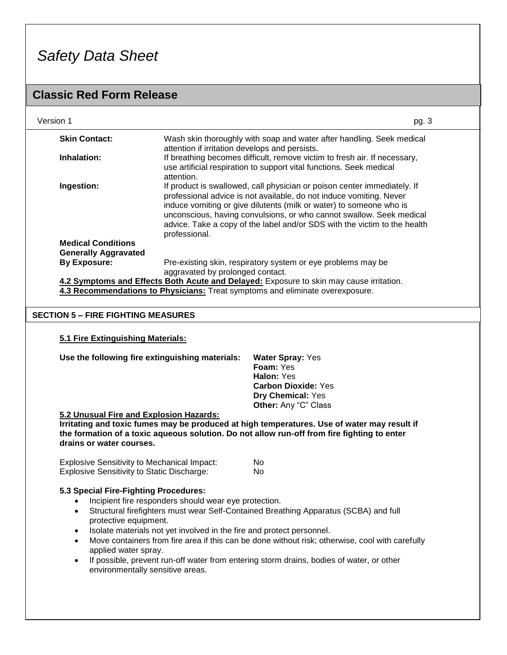### **Classic Red Form Release**

| Version 1                                                |                                                                                                                                                                                                                          | pg. 3                                                                                                                                                                                                                                                                                                                                                                       |  |
|----------------------------------------------------------|--------------------------------------------------------------------------------------------------------------------------------------------------------------------------------------------------------------------------|-----------------------------------------------------------------------------------------------------------------------------------------------------------------------------------------------------------------------------------------------------------------------------------------------------------------------------------------------------------------------------|--|
| <b>Skin Contact:</b>                                     | attention if irritation develops and persists.                                                                                                                                                                           | Wash skin thoroughly with soap and water after handling. Seek medical                                                                                                                                                                                                                                                                                                       |  |
| Inhalation:                                              | attention.                                                                                                                                                                                                               | If breathing becomes difficult, remove victim to fresh air. If necessary,<br>use artificial respiration to support vital functions. Seek medical                                                                                                                                                                                                                            |  |
| Ingestion:                                               | professional.                                                                                                                                                                                                            | If product is swallowed, call physician or poison center immediately. If<br>professional advice is not available, do not induce vomiting. Never<br>induce vomiting or give dilutents (milk or water) to someone who is<br>unconscious, having convulsions, or who cannot swallow. Seek medical<br>advice. Take a copy of the label and/or SDS with the victim to the health |  |
| <b>Medical Conditions</b><br><b>Generally Aggravated</b> |                                                                                                                                                                                                                          |                                                                                                                                                                                                                                                                                                                                                                             |  |
| <b>By Exposure:</b>                                      | aggravated by prolonged contact.                                                                                                                                                                                         | Pre-existing skin, respiratory system or eye problems may be                                                                                                                                                                                                                                                                                                                |  |
|                                                          | 4.3 Recommendations to Physicians: Treat symptoms and eliminate overexposure.                                                                                                                                            | 4.2 Symptoms and Effects Both Acute and Delayed: Exposure to skin may cause irritation.                                                                                                                                                                                                                                                                                     |  |
|                                                          |                                                                                                                                                                                                                          |                                                                                                                                                                                                                                                                                                                                                                             |  |
|                                                          | <b>SECTION 5 - FIRE FIGHTING MEASURES</b>                                                                                                                                                                                |                                                                                                                                                                                                                                                                                                                                                                             |  |
|                                                          | 5.1 Fire Extinguishing Materials:                                                                                                                                                                                        |                                                                                                                                                                                                                                                                                                                                                                             |  |
|                                                          | Use the following fire extinguishing materials:                                                                                                                                                                          | <b>Water Spray: Yes</b><br>Foam: Yes<br>Halon: Yes<br><b>Carbon Dioxide: Yes</b><br>Dry Chemical: Yes<br>Other: Any "C" Class                                                                                                                                                                                                                                               |  |
| drains or water courses.                                 | 5.2 Unusual Fire and Explosion Hazards:                                                                                                                                                                                  | Irritating and toxic fumes may be produced at high temperatures. Use of water may result if<br>the formation of a toxic aqueous solution. Do not allow run-off from fire fighting to enter                                                                                                                                                                                  |  |
|                                                          | <b>Explosive Sensitivity to Mechanical Impact:</b><br><b>Explosive Sensitivity to Static Discharge:</b>                                                                                                                  | No<br>No                                                                                                                                                                                                                                                                                                                                                                    |  |
| $\bullet$<br>$\bullet$<br>$\bullet$                      | 5.3 Special Fire-Fighting Procedures:<br>Incipient fire responders should wear eye protection.<br>protective equipment.<br>Isolate materials not yet involved in the fire and protect personnel.<br>applied water spray. | Structural firefighters must wear Self-Contained Breathing Apparatus (SCBA) and full<br>Move containers from fire area if this can be done without risk; otherwise, cool with carefully                                                                                                                                                                                     |  |

• If possible, prevent run-off water from entering storm drains, bodies of water, or other environmentally sensitive areas.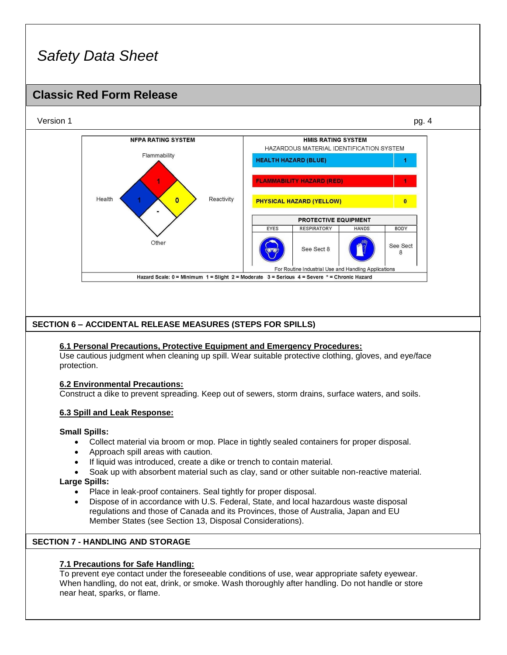### **Classic Red Form Release**



### **6.2 Environmental Precautions:**

Construct a dike to prevent spreading. Keep out of sewers, storm drains, surface waters, and soils.

### **6.3 Spill and Leak Response:**

### **Small Spills:**

- Collect material via broom or mop. Place in tightly sealed containers for proper disposal.
- Approach spill areas with caution.
- If liquid was introduced, create a dike or trench to contain material.
- Soak up with absorbent material such as clay, sand or other suitable non-reactive material. **Large Spills:**
	- Place in leak-proof containers. Seal tightly for proper disposal.
	- Dispose of in accordance with U.S. Federal, State, and local hazardous waste disposal regulations and those of Canada and its Provinces, those of Australia, Japan and EU Member States (see Section 13, Disposal Considerations).

### **SECTION 7 - HANDLING AND STORAGE**

### **7.1 Precautions for Safe Handling:**

To prevent eye contact under the foreseeable conditions of use, wear appropriate safety eyewear. When handling, do not eat, drink, or smoke. Wash thoroughly after handling. Do not handle or store near heat, sparks, or flame.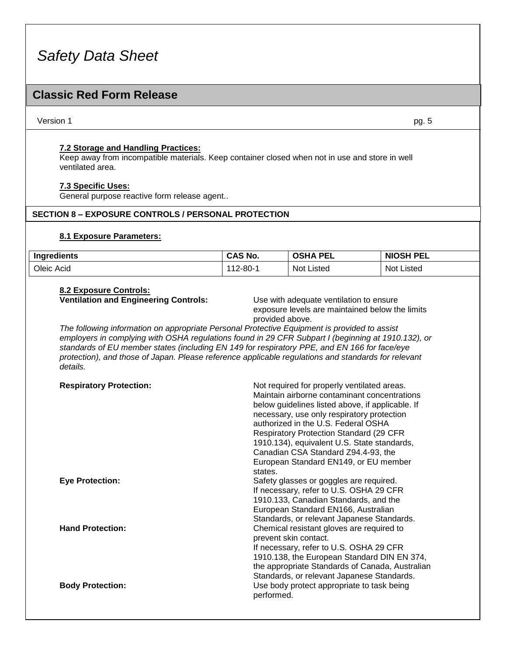### **Classic Red Form Release**

#### Version 1 pg. 5

#### **7.2 Storage and Handling Practices:**

Keep away from incompatible materials. Keep container closed when not in use and store in well ventilated area.

### **7.3 Specific Uses:**

General purpose reactive form release agent..

#### **SECTION 8 – EXPOSURE CONTROLS / PERSONAL PROTECTION**

### **8.1 Exposure Parameters:**

| Ingredients | CAS No.        | <b>OSH</b><br><b>PEL</b><br>Δ | NIOSH PEL     |
|-------------|----------------|-------------------------------|---------------|
| Oleic Acid  | $112 - 80 - 1$ | <b>Not Listed</b>             | Not<br>Listed |

### **8.2 Exposure Controls:**

**Ventilation and Engineering Controls:** Use with adequate ventilation to ensure exposure levels are maintained below the limits provided above.

*The following information on appropriate Personal Protective Equipment is provided to assist employers in complying with OSHA regulations found in 29 CFR Subpart I (beginning at 1910.132), or standards of EU member states (including EN 149 for respiratory PPE, and EN 166 for face/eye protection), and those of Japan. Please reference applicable regulations and standards for relevant details.*

| <b>Respiratory Protection:</b> | Not required for properly ventilated areas.<br>Maintain airborne contaminant concentrations<br>below guidelines listed above, if applicable. If<br>necessary, use only respiratory protection<br>authorized in the U.S. Federal OSHA<br><b>Respiratory Protection Standard (29 CFR</b><br>1910.134), equivalent U.S. State standards,<br>Canadian CSA Standard Z94.4-93, the<br>European Standard EN149, or EU member<br>states. |
|--------------------------------|----------------------------------------------------------------------------------------------------------------------------------------------------------------------------------------------------------------------------------------------------------------------------------------------------------------------------------------------------------------------------------------------------------------------------------|
| <b>Eye Protection:</b>         | Safety glasses or goggles are required.<br>If necessary, refer to U.S. OSHA 29 CFR<br>1910.133, Canadian Standards, and the<br>European Standard EN166, Australian<br>Standards, or relevant Japanese Standards.                                                                                                                                                                                                                 |
| <b>Hand Protection:</b>        | Chemical resistant gloves are required to<br>prevent skin contact.<br>If necessary, refer to U.S. OSHA 29 CFR<br>1910.138, the European Standard DIN EN 374,<br>the appropriate Standards of Canada, Australian<br>Standards, or relevant Japanese Standards.                                                                                                                                                                    |
| <b>Body Protection:</b>        | Use body protect appropriate to task being<br>performed.                                                                                                                                                                                                                                                                                                                                                                         |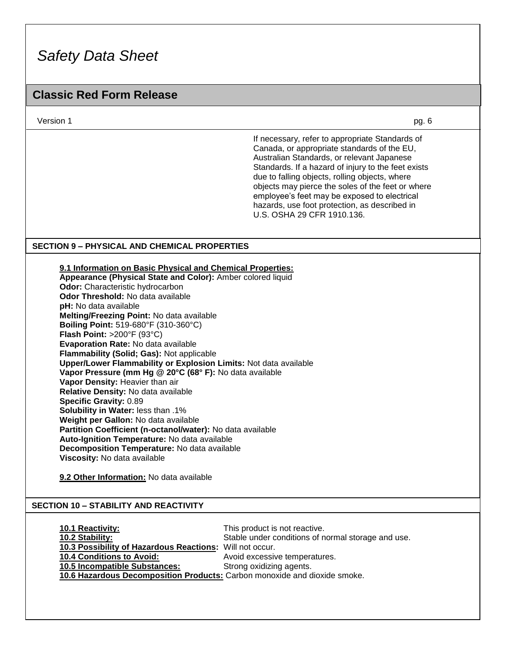### **Classic Red Form Release**

Version 1 pg. 6

If necessary, refer to appropriate Standards of Canada, or appropriate standards of the EU, Australian Standards, or relevant Japanese Standards. If a hazard of injury to the feet exists due to falling objects, rolling objects, where objects may pierce the soles of the feet or where employee's feet may be exposed to electrical hazards, use foot protection, as described in U.S. OSHA 29 CFR 1910.136.

### **SECTION 9 – PHYSICAL AND CHEMICAL PROPERTIES**

**9.1 Information on Basic Physical and Chemical Properties:**

**Appearance (Physical State and Color):** Amber colored liquid **Odor:** Characteristic hydrocarbon **Odor Threshold:** No data available **pH:** No data available **Melting/Freezing Point:** No data available **Boiling Point:** 519-680°F (310-360°C) **Flash Point:** >200°F (93°C) **Evaporation Rate:** No data available **Flammability (Solid; Gas):** Not applicable **Upper/Lower Flammability or Explosion Limits:** Not data available **Vapor Pressure (mm Hg @ 20°C (68° F):** No data available **Vapor Density:** Heavier than air **Relative Density:** No data available **Specific Gravity:** 0.89 **Solubility in Water:** less than .1% **Weight per Gallon:** No data available **Partition Coefficient (n-octanol/water):** No data available **Auto-Ignition Temperature:** No data available **Decomposition Temperature:** No data available **Viscosity:** No data available

**9.2 Other Information:** No data available

### **SECTION 10 – STABILITY AND REACTIVITY**

| <b>10.1 Reactivity:</b>                                                   | This product is not reactive.                      |
|---------------------------------------------------------------------------|----------------------------------------------------|
| 10.2 Stability:                                                           | Stable under conditions of normal storage and use. |
| 10.3 Possibility of Hazardous Reactions: Will not occur.                  |                                                    |
| <b>10.4 Conditions to Avoid:</b>                                          | Avoid excessive temperatures.                      |
| <b>10.5 Incompatible Substances:</b>                                      | Strong oxidizing agents.                           |
| 10.6 Hazardous Decomposition Products: Carbon monoxide and dioxide smoke. |                                                    |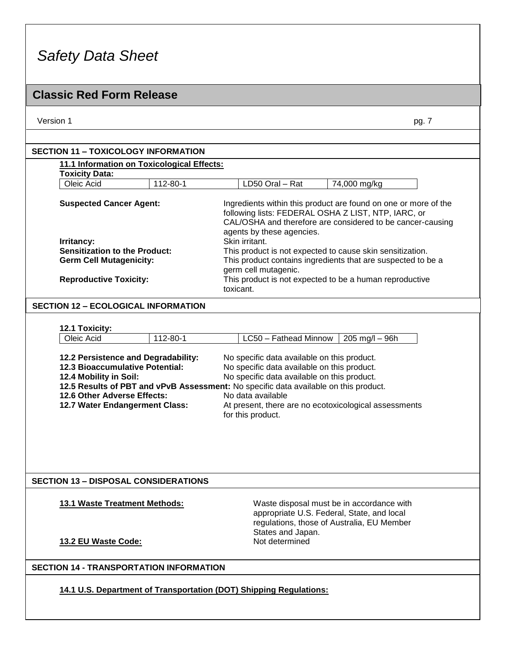### **Classic Red Form Release**

Version 1 pg. 7

### **11.1 Information on Toxicological Effects: Toxicity Data:** Oleic Acid 112-80-1 LD50 Oral – Rat 74,000 mg/kg **SECTION 11 – TOXICOLOGY INFORMATION**

| <b>Suspected Cancer Agent:</b>       | Ingredients within this product are found on one or more of the<br>following lists: FEDERAL OSHA Z LIST, NTP, IARC, or<br>CAL/OSHA and therefore are considered to be cancer-causing<br>agents by these agencies. |
|--------------------------------------|-------------------------------------------------------------------------------------------------------------------------------------------------------------------------------------------------------------------|
| Irritancy:                           | Skin irritant.                                                                                                                                                                                                    |
| <b>Sensitization to the Product:</b> | This product is not expected to cause skin sensitization.                                                                                                                                                         |
| <b>Germ Cell Mutagenicity:</b>       | This product contains ingredients that are suspected to be a<br>germ cell mutagenic.                                                                                                                              |
| <b>Reproductive Toxicity:</b>        | This product is not expected to be a human reproductive<br>toxicant.                                                                                                                                              |

#### **SECTION 12 – ECOLOGICAL INFORMATION**

### **12.1 Toxicity:**

| 112-80-1                        | LC50 - Fathead Minnow<br>$205 \text{ mg/l} - 96h$                                    |  |
|---------------------------------|--------------------------------------------------------------------------------------|--|
|                                 | No specific data available on this product.                                          |  |
| 12.3 Bioaccumulative Potential: | No specific data available on this product.                                          |  |
| <b>12.4 Mobility in Soil:</b>   | No specific data available on this product.                                          |  |
|                                 | 12.5 Results of PBT and vPvB Assessment: No specific data available on this product. |  |
| 12.6 Other Adverse Effects:     | No data available                                                                    |  |
| 12.7 Water Endangerment Class:  | At present, there are no ecotoxicological assessments<br>for this product.           |  |
|                                 | 12.2 Persistence and Degradability:                                                  |  |

### **SECTION 13 – DISPOSAL CONSIDERATIONS**

**13.1 Waste Treatment Methods:** Waste disposal must be in accordance with appropriate U.S. Federal, State, and local regulations, those of Australia, EU Member States and Japan.<br>Not determined

### **13.2 EU Waste Code:**

### **SECTION 14 - TRANSPORTATION INFORMATION**

**14.1 U.S. Department of Transportation (DOT) Shipping Regulations:**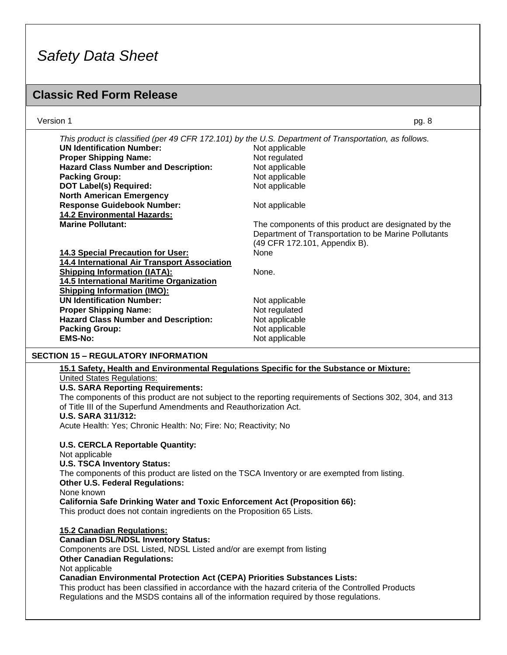### **Classic Red Form Release**

| Version 1                                                                                             | pg. 8                                                |
|-------------------------------------------------------------------------------------------------------|------------------------------------------------------|
| This product is classified (per 49 CFR 172.101) by the U.S. Department of Transportation, as follows. |                                                      |
| <b>UN Identification Number:</b>                                                                      | Not applicable                                       |
| <b>Proper Shipping Name:</b>                                                                          | Not regulated                                        |
| <b>Hazard Class Number and Description:</b>                                                           | Not applicable                                       |
| <b>Packing Group:</b>                                                                                 | Not applicable                                       |
| <b>DOT Label(s) Required:</b>                                                                         | Not applicable                                       |
| <b>North American Emergency</b>                                                                       |                                                      |
| <b>Response Guidebook Number:</b>                                                                     | Not applicable                                       |
| <b>14.2 Environmental Hazards:</b>                                                                    |                                                      |
| <b>Marine Pollutant:</b>                                                                              | The components of this product are designated by the |
|                                                                                                       | Department of Transportation to be Marine Pollutants |
|                                                                                                       | (49 CFR 172.101, Appendix B).                        |
| <b>14.3 Special Precaution for User:</b>                                                              | <b>None</b>                                          |
| 14.4 International Air Transport Association                                                          |                                                      |
| <b>Shipping Information (IATA):</b>                                                                   | None.                                                |
| 14.5 International Maritime Organization                                                              |                                                      |
| <b>Shipping Information (IMO):</b>                                                                    |                                                      |
| <b>UN Identification Number:</b>                                                                      | Not applicable                                       |
| <b>Proper Shipping Name:</b>                                                                          | Not regulated                                        |
| <b>Hazard Class Number and Description:</b>                                                           | Not applicable                                       |
| <b>Packing Group:</b>                                                                                 | Not applicable                                       |
| <b>EMS-No:</b>                                                                                        | Not applicable                                       |
| SECTION 15 – REGULATORY INFORMATION                                                                   |                                                      |

### **15.1 Safety, Health and Environmental Regulations Specific for the Substance or Mixture:**

United States Regulations:

#### **U.S. SARA Reporting Requirements:**

The components of this product are not subject to the reporting requirements of Sections 302, 304, and 313 of Title III of the Superfund Amendments and Reauthorization Act.

#### **U.S. SARA 311/312:**

Acute Health: Yes; Chronic Health: No; Fire: No; Reactivity; No

**U.S. CERCLA Reportable Quantity:** Not applicable

### **U.S. TSCA Inventory Status:**

The components of this product are listed on the TSCA Inventory or are exempted from listing. **Other U.S. Federal Regulations:**

None known

**California Safe Drinking Water and Toxic Enforcement Act (Proposition 66):**

This product does not contain ingredients on the Proposition 65 Lists.

**15.2 Canadian Regulations: Canadian DSL/NDSL Inventory Status:** Components are DSL Listed, NDSL Listed and/or are exempt from listing **Other Canadian Regulations:** Not applicable **Canadian Environmental Protection Act (CEPA) Priorities Substances Lists:** This product has been classified in accordance with the hazard criteria of the Controlled Products Regulations and the MSDS contains all of the information required by those regulations.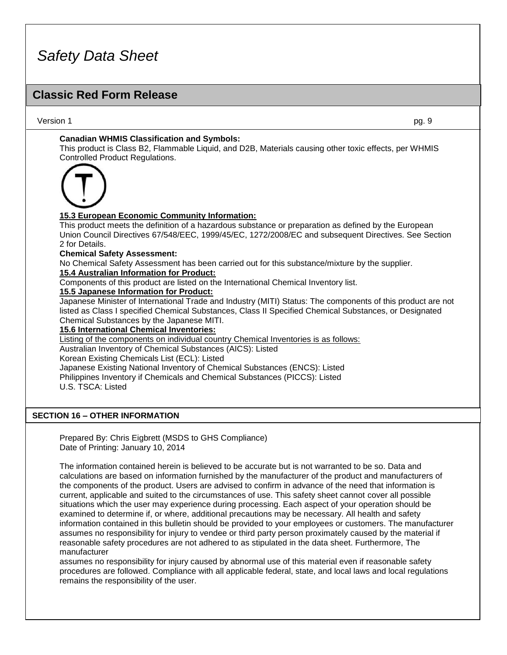### **Classic Red Form Release**

Version 1 pg. 9

### **Canadian WHMIS Classification and Symbols:**

This product is Class B2, Flammable Liquid, and D2B, Materials causing other toxic effects, per WHMIS Controlled Product Regulations.



### **15.3 European Economic Community Information:**

This product meets the definition of a hazardous substance or preparation as defined by the European Union Council Directives 67/548/EEC, 1999/45/EC, 1272/2008/EC and subsequent Directives. See Section 2 for Details.

#### **Chemical Safety Assessment:**

No Chemical Safety Assessment has been carried out for this substance/mixture by the supplier.

### **15.4 Australian Information for Product:**

Components of this product are listed on the International Chemical Inventory list.

#### **15.5 Japanese Information for Product:**

Japanese Minister of International Trade and Industry (MITI) Status: The components of this product are not listed as Class I specified Chemical Substances, Class II Specified Chemical Substances, or Designated Chemical Substances by the Japanese MITI.

#### **15.6 International Chemical Inventories:**

Listing of the components on individual country Chemical Inventories is as follows: Australian Inventory of Chemical Substances (AICS): Listed

### Korean Existing Chemicals List (ECL): Listed

Japanese Existing National Inventory of Chemical Substances (ENCS): Listed Philippines Inventory if Chemicals and Chemical Substances (PICCS): Listed

U.S. TSCA: Listed

### **SECTION 16 – OTHER INFORMATION**

Prepared By: Chris Eigbrett (MSDS to GHS Compliance) Date of Printing: January 10, 2014

The information contained herein is believed to be accurate but is not warranted to be so. Data and calculations are based on information furnished by the manufacturer of the product and manufacturers of the components of the product. Users are advised to confirm in advance of the need that information is current, applicable and suited to the circumstances of use. This safety sheet cannot cover all possible situations which the user may experience during processing. Each aspect of your operation should be examined to determine if, or where, additional precautions may be necessary. All health and safety information contained in this bulletin should be provided to your employees or customers. The manufacturer assumes no responsibility for injury to vendee or third party person proximately caused by the material if reasonable safety procedures are not adhered to as stipulated in the data sheet. Furthermore, The manufacturer

assumes no responsibility for injury caused by abnormal use of this material even if reasonable safety procedures are followed. Compliance with all applicable federal, state, and local laws and local regulations remains the responsibility of the user.